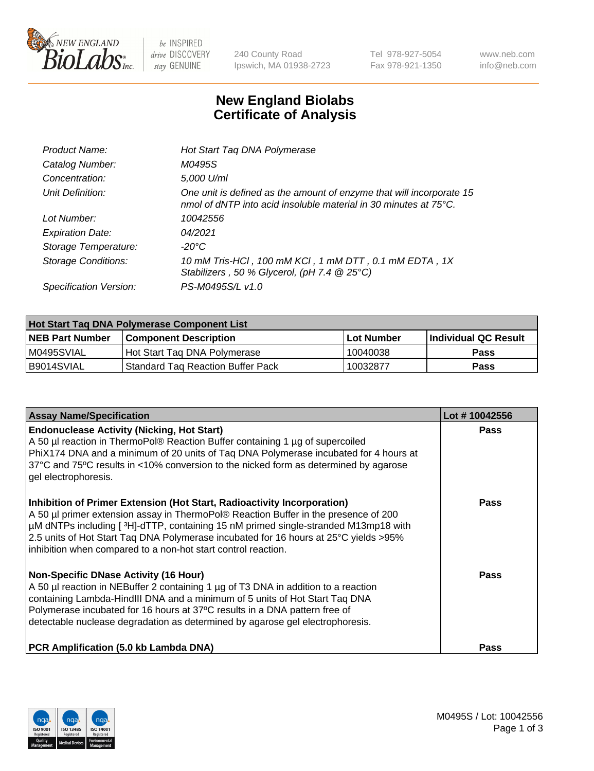

 $be$  INSPIRED drive DISCOVERY stay GENUINE

240 County Road Ipswich, MA 01938-2723 Tel 978-927-5054 Fax 978-921-1350 www.neb.com info@neb.com

## **New England Biolabs Certificate of Analysis**

| Product Name:              | Hot Start Taq DNA Polymerase                                                                                                                       |
|----------------------------|----------------------------------------------------------------------------------------------------------------------------------------------------|
| Catalog Number:            | M0495S                                                                                                                                             |
| Concentration:             | 5,000 U/ml                                                                                                                                         |
| Unit Definition:           | One unit is defined as the amount of enzyme that will incorporate 15<br>nmol of dNTP into acid insoluble material in 30 minutes at $75^{\circ}$ C. |
| Lot Number:                | 10042556                                                                                                                                           |
| <b>Expiration Date:</b>    | 04/2021                                                                                                                                            |
| Storage Temperature:       | -20°C                                                                                                                                              |
| <b>Storage Conditions:</b> | 10 mM Tris-HCl, 100 mM KCl, 1 mM DTT, 0.1 mM EDTA, 1X<br>Stabilizers, 50 % Glycerol, (pH 7.4 $@25°C$ )                                             |
| Specification Version:     | PS-M0495S/L v1.0                                                                                                                                   |

| Hot Start Tag DNA Polymerase Component List |                                     |              |                      |  |  |
|---------------------------------------------|-------------------------------------|--------------|----------------------|--|--|
| <b>NEB Part Number</b>                      | Component Description_              | l Lot Number | Individual QC Result |  |  |
| M0495SVIAL                                  | Hot Start Tag DNA Polymerase        | 10040038     | <b>Pass</b>          |  |  |
| B9014SVIAL                                  | 'Standard Tag Reaction Buffer Pack_ | 10032877     | <b>Pass</b>          |  |  |

| <b>Assay Name/Specification</b>                                                                                                                                                                                                                                                                                                                                                                                | Lot #10042556 |
|----------------------------------------------------------------------------------------------------------------------------------------------------------------------------------------------------------------------------------------------------------------------------------------------------------------------------------------------------------------------------------------------------------------|---------------|
| <b>Endonuclease Activity (Nicking, Hot Start)</b><br>A 50 µl reaction in ThermoPol® Reaction Buffer containing 1 µg of supercoiled<br>PhiX174 DNA and a minimum of 20 units of Taq DNA Polymerase incubated for 4 hours at<br>37°C and 75°C results in <10% conversion to the nicked form as determined by agarose<br>gel electrophoresis.                                                                     | Pass          |
| Inhibition of Primer Extension (Hot Start, Radioactivity Incorporation)<br>A 50 µl primer extension assay in ThermoPol® Reaction Buffer in the presence of 200<br>µM dNTPs including [3H]-dTTP, containing 15 nM primed single-stranded M13mp18 with<br>2.5 units of Hot Start Taq DNA Polymerase incubated for 16 hours at 25°C yields > 95%<br>inhibition when compared to a non-hot start control reaction. | Pass          |
| <b>Non-Specific DNase Activity (16 Hour)</b><br>A 50 µl reaction in NEBuffer 2 containing 1 µg of T3 DNA in addition to a reaction<br>containing Lambda-HindIII DNA and a minimum of 5 units of Hot Start Taq DNA<br>Polymerase incubated for 16 hours at 37°C results in a DNA pattern free of<br>detectable nuclease degradation as determined by agarose gel electrophoresis.                               | Pass          |
| PCR Amplification (5.0 kb Lambda DNA)                                                                                                                                                                                                                                                                                                                                                                          | Pass          |

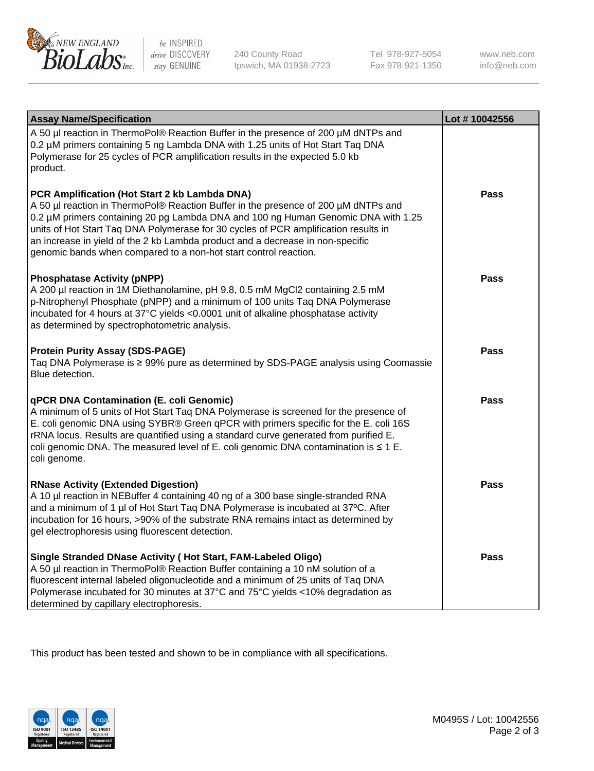

 $be$  INSPIRED drive DISCOVERY stay GENUINE

240 County Road Ipswich, MA 01938-2723 Tel 978-927-5054 Fax 978-921-1350 www.neb.com info@neb.com

| <b>Assay Name/Specification</b>                                                                                                                                                                                                                                                                                                                                                                                                                                       | Lot #10042556 |
|-----------------------------------------------------------------------------------------------------------------------------------------------------------------------------------------------------------------------------------------------------------------------------------------------------------------------------------------------------------------------------------------------------------------------------------------------------------------------|---------------|
| A 50 µl reaction in ThermoPol® Reaction Buffer in the presence of 200 µM dNTPs and<br>0.2 µM primers containing 5 ng Lambda DNA with 1.25 units of Hot Start Taq DNA<br>Polymerase for 25 cycles of PCR amplification results in the expected 5.0 kb<br>product.                                                                                                                                                                                                      |               |
| PCR Amplification (Hot Start 2 kb Lambda DNA)<br>A 50 µl reaction in ThermoPol® Reaction Buffer in the presence of 200 µM dNTPs and<br>0.2 µM primers containing 20 pg Lambda DNA and 100 ng Human Genomic DNA with 1.25<br>units of Hot Start Taq DNA Polymerase for 30 cycles of PCR amplification results in<br>an increase in yield of the 2 kb Lambda product and a decrease in non-specific<br>genomic bands when compared to a non-hot start control reaction. | <b>Pass</b>   |
| <b>Phosphatase Activity (pNPP)</b><br>A 200 µl reaction in 1M Diethanolamine, pH 9.8, 0.5 mM MgCl2 containing 2.5 mM<br>p-Nitrophenyl Phosphate (pNPP) and a minimum of 100 units Taq DNA Polymerase<br>incubated for 4 hours at 37°C yields <0.0001 unit of alkaline phosphatase activity<br>as determined by spectrophotometric analysis.                                                                                                                           | <b>Pass</b>   |
| <b>Protein Purity Assay (SDS-PAGE)</b><br>Taq DNA Polymerase is ≥ 99% pure as determined by SDS-PAGE analysis using Coomassie<br>Blue detection.                                                                                                                                                                                                                                                                                                                      | Pass          |
| <b>qPCR DNA Contamination (E. coli Genomic)</b><br>A minimum of 5 units of Hot Start Taq DNA Polymerase is screened for the presence of<br>E. coli genomic DNA using SYBR® Green qPCR with primers specific for the E. coli 16S<br>rRNA locus. Results are quantified using a standard curve generated from purified E.<br>coli genomic DNA. The measured level of E. coli genomic DNA contamination is $\leq 1$ E.<br>coli genome.                                   | <b>Pass</b>   |
| <b>RNase Activity (Extended Digestion)</b><br>A 10 µl reaction in NEBuffer 4 containing 40 ng of a 300 base single-stranded RNA<br>and a minimum of 1 µl of Hot Start Taq DNA Polymerase is incubated at 37°C. After<br>incubation for 16 hours, >90% of the substrate RNA remains intact as determined by<br>gel electrophoresis using fluorescent detection.                                                                                                        | Pass          |
| Single Stranded DNase Activity (Hot Start, FAM-Labeled Oligo)<br>A 50 µl reaction in ThermoPol® Reaction Buffer containing a 10 nM solution of a<br>fluorescent internal labeled oligonucleotide and a minimum of 25 units of Taq DNA<br>Polymerase incubated for 30 minutes at 37°C and 75°C yields <10% degradation as<br>determined by capillary electrophoresis.                                                                                                  | <b>Pass</b>   |

This product has been tested and shown to be in compliance with all specifications.